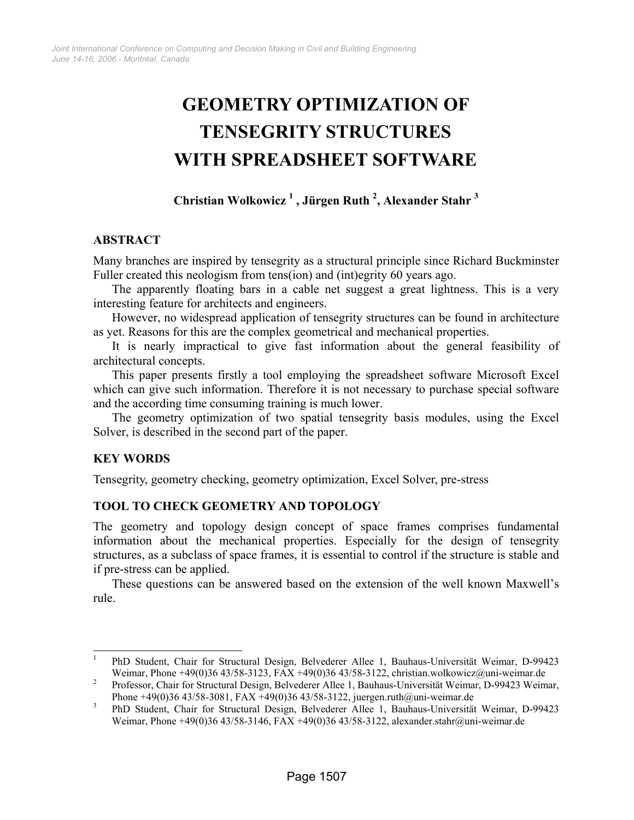# **GEOMETRY OPTIMIZATION OF TENSEGRITY STRUCTURES WITH SPREADSHEET SOFTWARE**

# **Christian Wolkowicz <sup>1</sup> , Jürgen Ruth <sup>2</sup> , Alexander Stahr 3**

## **ABSTRACT**

Many branches are inspired by tensegrity as a structural principle since Richard Buckminster Fuller created this neologism from tens(ion) and (int)egrity 60 years ago.

The apparently floating bars in a cable net suggest a great lightness. This is a very interesting feature for architects and engineers.

However, no widespread application of tensegrity structures can be found in architecture as yet. Reasons for this are the complex geometrical and mechanical properties.

It is nearly impractical to give fast information about the general feasibility of architectural concepts.

This paper presents firstly a tool employing the spreadsheet software Microsoft Excel which can give such information. Therefore it is not necessary to purchase special software and the according time consuming training is much lower.

The geometry optimization of two spatial tensegrity basis modules, using the Excel Solver, is described in the second part of the paper.

# **KEY WORDS**

Tensegrity, geometry checking, geometry optimization, Excel Solver, pre-stress

## **TOOL TO CHECK GEOMETRY AND TOPOLOGY**

The geometry and topology design concept of space frames comprises fundamental information about the mechanical properties. Especially for the design of tensegrity structures, as a subclass of space frames, it is essential to control if the structure is stable and if pre-stress can be applied.

These questions can be answered based on the extension of the well known Maxwell's rule.

<sup>|&</sup>lt;br>|<br>| PhD Student, Chair for Structural Design, Belvederer Allee 1, Bauhaus-Universität Weimar, D-99423 Weimar, Phone +49(0)36 43/58-3123, FAX +49(0)36 43/58-3122, christian.wolkowicz@uni-weimar.de

Professor, Chair for Structural Design, Belvederer Allee 1, Bauhaus-Universität Weimar, D-99423 Weimar, Phone +49(0)36 43/58-3081, FAX +49(0)36 43/58-3122, juergen.ruth@uni-weimar.de<br><sup>3</sup> PhD Student, Chair for Structural Design, Belyederer, Allee 1, Baubaus Universität

PhD Student, Chair for Structural Design, Belvederer Allee 1, Bauhaus-Universität Weimar, D-99423 Weimar, Phone +49(0)36 43/58-3146, FAX +49(0)36 43/58-3122, alexander.stahr@uni-weimar.de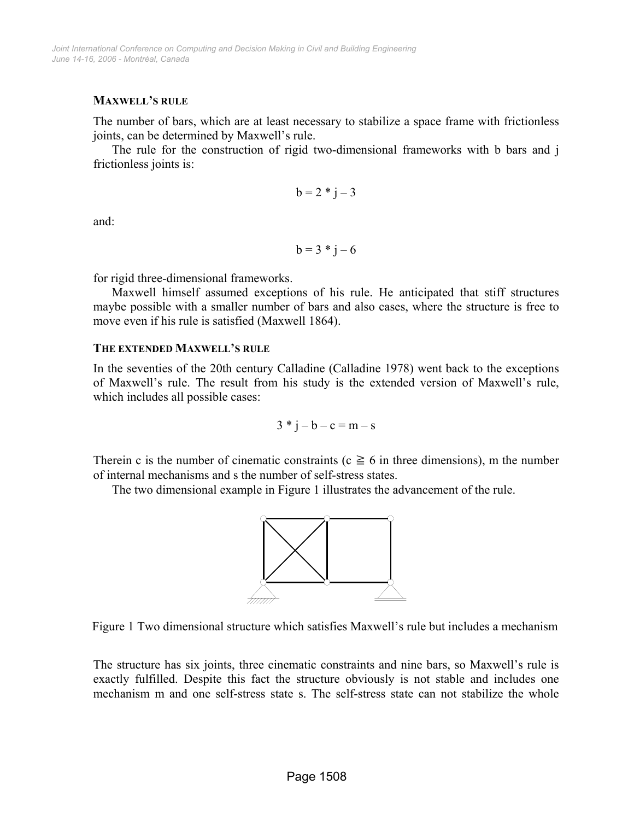## **MAXWELL'S RULE**

The number of bars, which are at least necessary to stabilize a space frame with frictionless joints, can be determined by Maxwell's rule.

The rule for the construction of rigid two-dimensional frameworks with b bars and j frictionless joints is:

$$
b = 2 * j - 3
$$

and:

 $b = 3 * j - 6$ 

for rigid three-dimensional frameworks.

Maxwell himself assumed exceptions of his rule. He anticipated that stiff structures maybe possible with a smaller number of bars and also cases, where the structure is free to move even if his rule is satisfied (Maxwell 1864).

#### **THE EXTENDED MAXWELL'S RULE**

In the seventies of the 20th century Calladine (Calladine 1978) went back to the exceptions of Maxwell's rule. The result from his study is the extended version of Maxwell's rule, which includes all possible cases:

$$
3 * j - b - c = m - s
$$

Therein c is the number of cinematic constraints ( $c \ge 6$  in three dimensions), m the number of internal mechanisms and s the number of self-stress states.

The two dimensional example in Figure 1 illustrates the advancement of the rule.





The structure has six joints, three cinematic constraints and nine bars, so Maxwell's rule is exactly fulfilled. Despite this fact the structure obviously is not stable and includes one mechanism m and one self-stress state s. The self-stress state can not stabilize the whole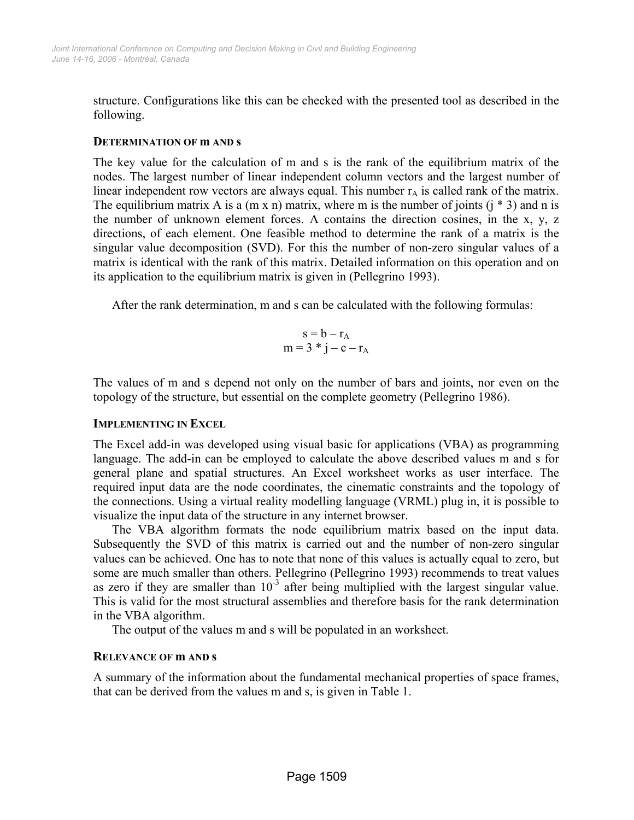structure. Configurations like this can be checked with the presented tool as described in the following.

#### **DETERMINATION OF m AND s**

The key value for the calculation of m and s is the rank of the equilibrium matrix of the nodes. The largest number of linear independent column vectors and the largest number of linear independent row vectors are always equal. This number  $r_A$  is called rank of the matrix. The equilibrium matrix A is a  $(m \times n)$  matrix, where m is the number of joints  $(i * 3)$  and n is the number of unknown element forces. A contains the direction cosines, in the x, y, z directions, of each element. One feasible method to determine the rank of a matrix is the singular value decomposition (SVD). For this the number of non-zero singular values of a matrix is identical with the rank of this matrix. Detailed information on this operation and on its application to the equilibrium matrix is given in (Pellegrino 1993).

After the rank determination, m and s can be calculated with the following formulas:

$$
s = b - r_A
$$
  

$$
m = 3 * j - c - r_A
$$

The values of m and s depend not only on the number of bars and joints, nor even on the topology of the structure, but essential on the complete geometry (Pellegrino 1986).

## **IMPLEMENTING IN EXCEL**

The Excel add-in was developed using visual basic for applications (VBA) as programming language. The add-in can be employed to calculate the above described values m and s for general plane and spatial structures. An Excel worksheet works as user interface. The required input data are the node coordinates, the cinematic constraints and the topology of the connections. Using a virtual reality modelling language (VRML) plug in, it is possible to visualize the input data of the structure in any internet browser.

The VBA algorithm formats the node equilibrium matrix based on the input data. Subsequently the SVD of this matrix is carried out and the number of non-zero singular values can be achieved. One has to note that none of this values is actually equal to zero, but some are much smaller than others. Pellegrino (Pellegrino 1993) recommends to treat values as zero if they are smaller than  $10^{-3}$  after being multiplied with the largest singular value. This is valid for the most structural assemblies and therefore basis for the rank determination in the VBA algorithm.

The output of the values m and s will be populated in an worksheet.

## **RELEVANCE OF m AND s**

A summary of the information about the fundamental mechanical properties of space frames, that can be derived from the values m and s, is given in Table 1.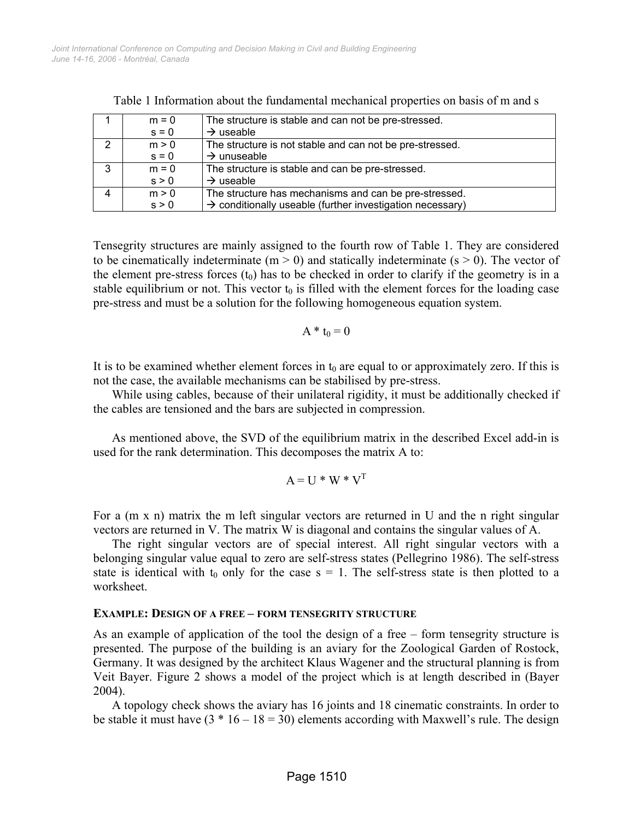|    | $m = 0$ | The structure is stable and can not be pre-stressed.                  |
|----|---------|-----------------------------------------------------------------------|
|    | $s = 0$ | $\rightarrow$ useable                                                 |
| 2  | m > 0   | The structure is not stable and can not be pre-stressed.              |
|    | $s = 0$ | $\rightarrow$ unuseable                                               |
| -3 | $m = 0$ | The structure is stable and can be pre-stressed.                      |
|    | s > 0   | $\rightarrow$ useable                                                 |
| 4  | m > 0   | The structure has mechanisms and can be pre-stressed.                 |
|    | s > 0   | $\rightarrow$ conditionally useable (further investigation necessary) |

Table 1 Information about the fundamental mechanical properties on basis of m and s

Tensegrity structures are mainly assigned to the fourth row of Table 1. They are considered to be cinematically indeterminate  $(m > 0)$  and statically indeterminate  $(s > 0)$ . The vector of the element pre-stress forces  $(t_0)$  has to be checked in order to clarify if the geometry is in a stable equilibrium or not. This vector  $t_0$  is filled with the element forces for the loading case pre-stress and must be a solution for the following homogeneous equation system.

$$
A * t_0 = 0
$$

It is to be examined whether element forces in  $t_0$  are equal to or approximately zero. If this is not the case, the available mechanisms can be stabilised by pre-stress.

While using cables, because of their unilateral rigidity, it must be additionally checked if the cables are tensioned and the bars are subjected in compression.

As mentioned above, the SVD of the equilibrium matrix in the described Excel add-in is used for the rank determination. This decomposes the matrix A to:

$$
A = U * W * V^T
$$

For a (m x n) matrix the m left singular vectors are returned in U and the n right singular vectors are returned in V. The matrix W is diagonal and contains the singular values of A.

The right singular vectors are of special interest. All right singular vectors with a belonging singular value equal to zero are self-stress states (Pellegrino 1986). The self-stress state is identical with  $t_0$  only for the case  $s = 1$ . The self-stress state is then plotted to a worksheet.

#### **EXAMPLE: DESIGN OF A FREE – FORM TENSEGRITY STRUCTURE**

As an example of application of the tool the design of a free – form tensegrity structure is presented. The purpose of the building is an aviary for the Zoological Garden of Rostock, Germany. It was designed by the architect Klaus Wagener and the structural planning is from Veit Bayer. Figure 2 shows a model of the project which is at length described in (Bayer 2004).

A topology check shows the aviary has 16 joints and 18 cinematic constraints. In order to be stable it must have  $(3 * 16 - 18 = 30)$  elements according with Maxwell's rule. The design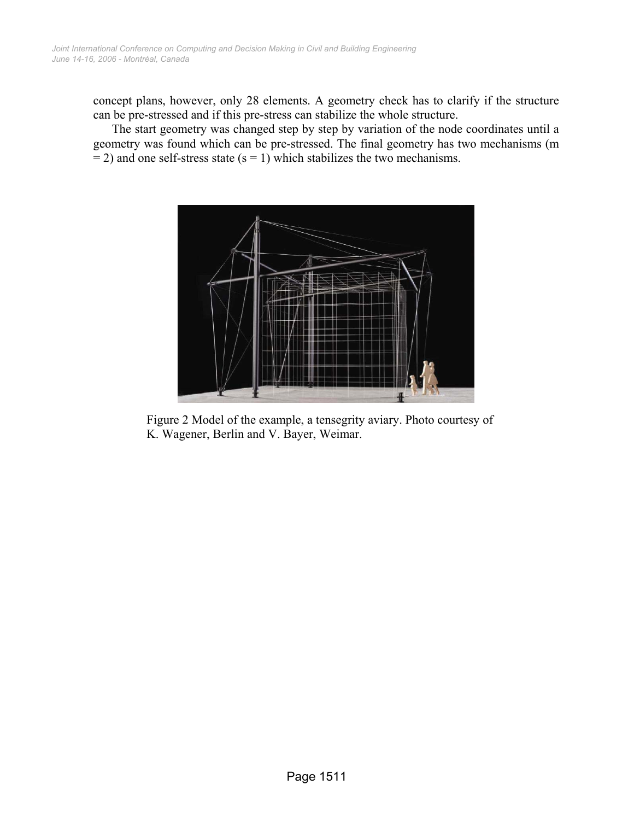concept plans, however, only 28 elements. A geometry check has to clarify if the structure can be pre-stressed and if this pre-stress can stabilize the whole structure.

The start geometry was changed step by step by variation of the node coordinates until a geometry was found which can be pre-stressed. The final geometry has two mechanisms (m  $=$  2) and one self-stress state (s  $=$  1) which stabilizes the two mechanisms.



Figure 2 Model of the example, a tensegrity aviary. Photo courtesy of K. Wagener, Berlin and V. Bayer, Weimar.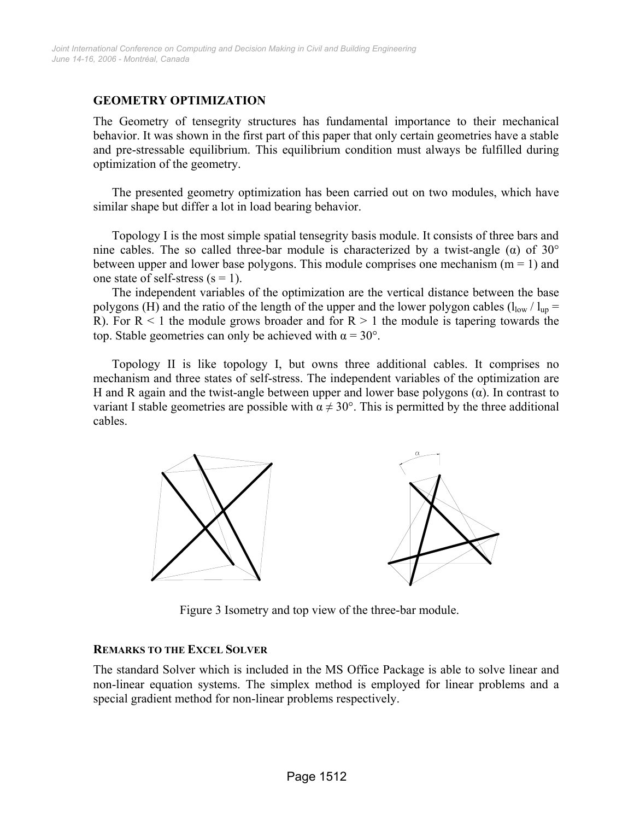## **GEOMETRY OPTIMIZATION**

The Geometry of tensegrity structures has fundamental importance to their mechanical behavior. It was shown in the first part of this paper that only certain geometries have a stable and pre-stressable equilibrium. This equilibrium condition must always be fulfilled during optimization of the geometry.

The presented geometry optimization has been carried out on two modules, which have similar shape but differ a lot in load bearing behavior.

Topology I is the most simple spatial tensegrity basis module. It consists of three bars and nine cables. The so called three-bar module is characterized by a twist-angle ( $\alpha$ ) of 30° between upper and lower base polygons. This module comprises one mechanism ( $m = 1$ ) and one state of self-stress  $(s = 1)$ .

The independent variables of the optimization are the vertical distance between the base polygons (H) and the ratio of the length of the upper and the lower polygon cables  $(l_{low} / l_{up} =$ R). For  $R < 1$  the module grows broader and for  $R > 1$  the module is tapering towards the top. Stable geometries can only be achieved with  $\alpha = 30^{\circ}$ .

Topology II is like topology I, but owns three additional cables. It comprises no mechanism and three states of self-stress. The independent variables of the optimization are H and R again and the twist-angle between upper and lower base polygons  $(\alpha)$ . In contrast to variant I stable geometries are possible with  $\alpha \neq 30^{\circ}$ . This is permitted by the three additional cables.



Figure 3 Isometry and top view of the three-bar module.

## **REMARKS TO THE EXCEL SOLVER**

The standard Solver which is included in the MS Office Package is able to solve linear and non-linear equation systems. The simplex method is employed for linear problems and a special gradient method for non-linear problems respectively.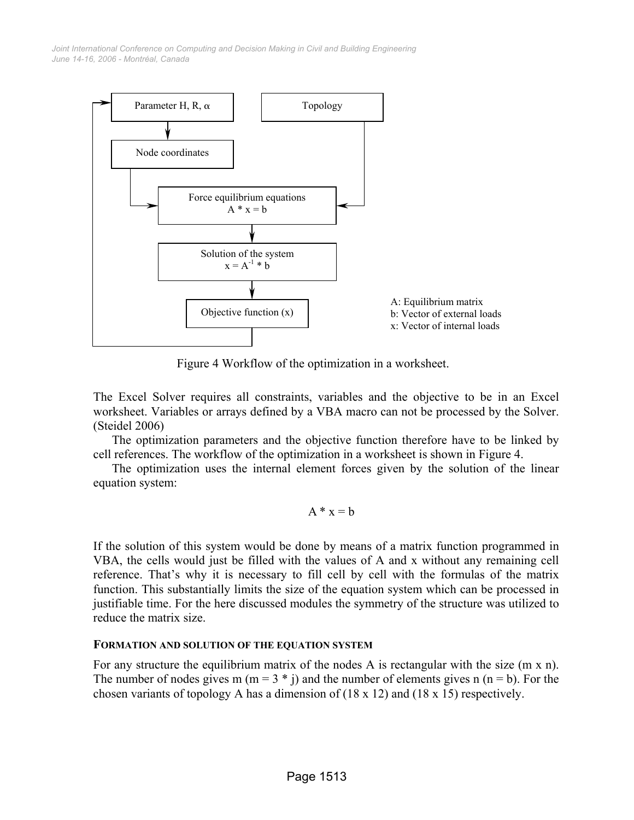*June 14-16, 2006 - Montréal, Canada Joint International Conference on Computing and Decision Making in Civil and Building Engineering*



Figure 4 Workflow of the optimization in a worksheet.

The Excel Solver requires all constraints, variables and the objective to be in an Excel worksheet. Variables or arrays defined by a VBA macro can not be processed by the Solver. (Steidel 2006)

The optimization parameters and the objective function therefore have to be linked by cell references. The workflow of the optimization in a worksheet is shown in Figure 4.

The optimization uses the internal element forces given by the solution of the linear equation system:

$$
A * x = b
$$

If the solution of this system would be done by means of a matrix function programmed in VBA, the cells would just be filled with the values of A and x without any remaining cell reference. That's why it is necessary to fill cell by cell with the formulas of the matrix function. This substantially limits the size of the equation system which can be processed in justifiable time. For the here discussed modules the symmetry of the structure was utilized to reduce the matrix size.

## **FORMATION AND SOLUTION OF THE EQUATION SYSTEM**

For any structure the equilibrium matrix of the nodes A is rectangular with the size (m x n). The number of nodes gives m (m = 3  $*$  j) and the number of elements gives n (n = b). For the chosen variants of topology A has a dimension of (18 x 12) and (18 x 15) respectively.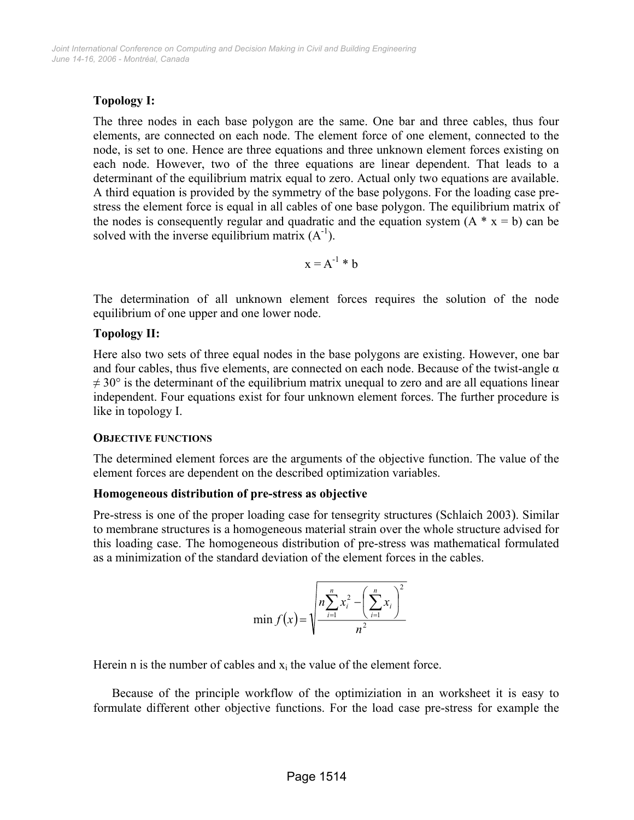# **Topology I:**

The three nodes in each base polygon are the same. One bar and three cables, thus four elements, are connected on each node. The element force of one element, connected to the node, is set to one. Hence are three equations and three unknown element forces existing on each node. However, two of the three equations are linear dependent. That leads to a determinant of the equilibrium matrix equal to zero. Actual only two equations are available. A third equation is provided by the symmetry of the base polygons. For the loading case prestress the element force is equal in all cables of one base polygon. The equilibrium matrix of the nodes is consequently regular and quadratic and the equation system  $(A * x = b)$  can be solved with the inverse equilibrium matrix  $(A^{-1})$ .

$$
x = A^{-1} * b
$$

The determination of all unknown element forces requires the solution of the node equilibrium of one upper and one lower node.

## **Topology II:**

Here also two sets of three equal nodes in the base polygons are existing. However, one bar and four cables, thus five elements, are connected on each node. Because of the twist-angle  $\alpha$  $\neq 30^{\circ}$  is the determinant of the equilibrium matrix unequal to zero and are all equations linear independent. Four equations exist for four unknown element forces. The further procedure is like in topology I.

## **OBJECTIVE FUNCTIONS**

The determined element forces are the arguments of the objective function. The value of the element forces are dependent on the described optimization variables.

## **Homogeneous distribution of pre-stress as objective**

Pre-stress is one of the proper loading case for tensegrity structures (Schlaich 2003). Similar to membrane structures is a homogeneous material strain over the whole structure advised for this loading case. The homogeneous distribution of pre-stress was mathematical formulated as a minimization of the standard deviation of the element forces in the cables.

$$
\min f(x) = \sqrt{\frac{n \sum_{i=1}^{n} x_i^2 - \left(\sum_{i=1}^{n} x_i\right)^2}{n^2}}
$$

Herein n is the number of cables and  $x_i$  the value of the element force.

Because of the principle workflow of the optimiziation in an worksheet it is easy to formulate different other objective functions. For the load case pre-stress for example the